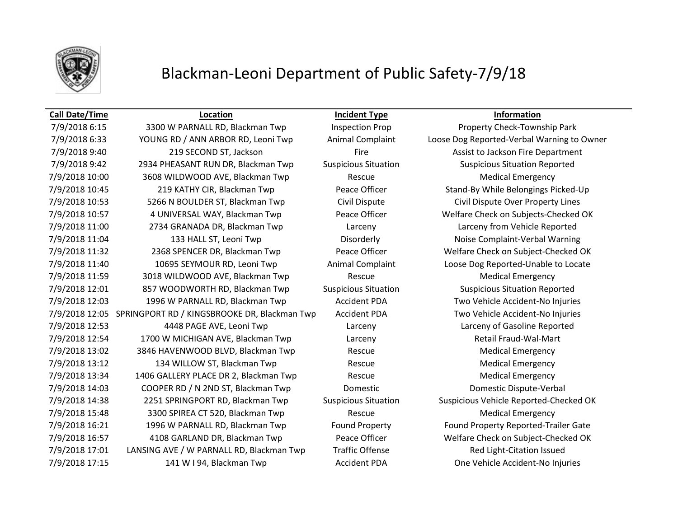

# Blackman-Leoni Department of Public Safety-7/9/18

### **Call Date/Time Location Incident Type Information**

7/9/2018 6:15 3300 W PARNALL RD, Blackman Twp Inspection Prop Property Check-Township Park 7/9/2018 6:33 YOUNG RD / ANN ARBOR RD, Leoni Twp Animal Complaint Loose Dog Reported-Verbal Warning to Owner 7/9/2018 9:40 219 219 SECOND ST, Jackson Fire Fire Repartment Assist to Jackson Fire Department 7/9/2018 9:42 2934 PHEASANT RUN DR, Blackman Twp Suspicious Situation Suspicious Situation Reported 7/9/2018 10:00 3608 WILDWOOD AVE, Blackman Twp Rescue Rescue Medical Emergency 7/9/2018 10:45 219 KATHY CIR, Blackman Twp Peace Officer Stand-By While Belongings Picked-Up 7/9/2018 10:53 5266 N BOULDER ST, Blackman Twp Civil Dispute Civil Dispute Over Property Lines 7/9/2018 10:57 4 UNIVERSAL WAY, Blackman Twp Peace Officer Welfare Check on Subjects-Checked OK 7/9/2018 11:00 2734 GRANADA DR, Blackman Twp Larceny Larceny from Vehicle Reported 7/9/2018 11:04 133 HALL ST, Leoni Twp Disorderly Noise Complaint-Verbal Warning 7/9/2018 11:32 2368 SPENCER DR, Blackman Twp Peace Officer Welfare Check on Subject-Checked OK 7/9/2018 11:40 10695 SEYMOUR RD, Leoni Twp Animal Complaint Loose Dog Reported-Unable to Locate 7/9/2018 11:59 3018 WILDWOOD AVE, Blackman Twp Rescue Rescue Medical Emergency 7/9/2018 12:01 857 WOODWORTH RD, Blackman Twp Suspicious Situation Suspicious Situation Reported 7/9/2018 12:03 1996 W PARNALL RD, Blackman Twp Accident PDA Two Vehicle Accident-No Injuries 7/9/2018 12:05 SPRINGPORT RD / KINGSBROOKE DR, Blackman Twp Accident PDA Two Vehicle Accident-No Injuries 7/9/2018 12:53 4448 PAGE AVE, Leoni Twp Larceny Larceny of Gasoline Reported 7/9/2018 12:54 1700 W MICHIGAN AVE, Blackman Twp Larceny Retail Fraud-Wal-Mart 7/9/2018 13:02 3846 HAVENWOOD BLVD, Blackman Twp Rescue Rescue Medical Emergency 7/9/2018 13:12 134 WILLOW ST, Blackman Twp Rescue Rescue Medical Emergency 7/9/2018 13:34 1406 GALLERY PLACE DR 2, Blackman Twp Rescue Rescue Medical Emergency 7/9/2018 14:03 COOPER RD / N 2ND ST, Blackman Twp Domestic Domestic Dispute-Verbal 7/9/2018 14:38 2251 SPRINGPORT RD, Blackman Twp Suspicious Situation Suspicious Vehicle Reported-Checked OK 7/9/2018 15:48 3300 SPIREA CT 520, Blackman Twp Rescue Rescue Medical Emergency 7/9/2018 16:21 1996 W PARNALL RD, Blackman Twp Found Property Found Property Reported-Trailer Gate 7/9/2018 16:57 4108 GARLAND DR, Blackman Twp Peace Officer Welfare Check on Subject-Checked OK 7/9/2018 17:01 LANSING AVE / W PARNALL RD, Blackman Twp Traffic Offense Red Light-Citation Issued 7/9/2018 17:15 141 W I 94, Blackman Twp Accident PDA One Vehicle Accident-No Injuries